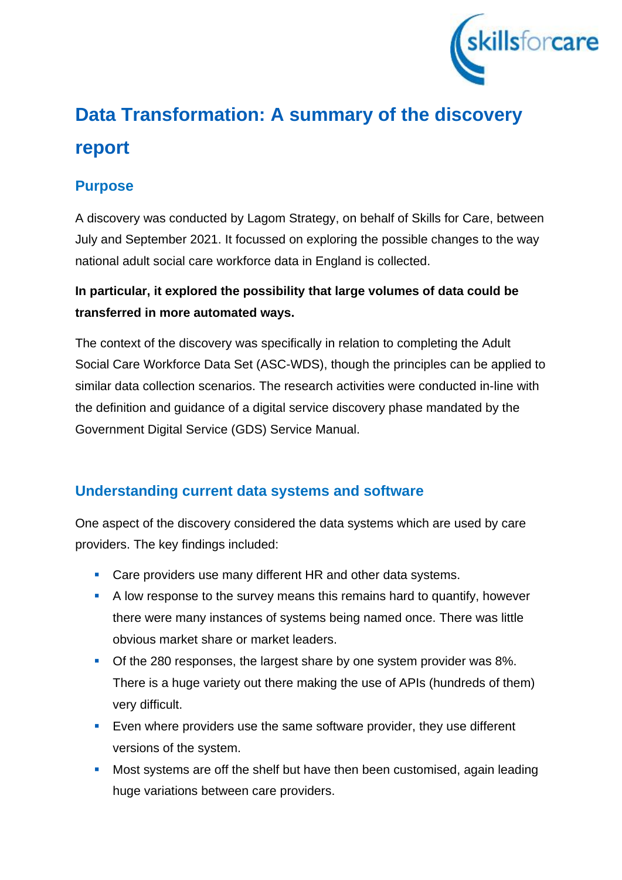

# **Data Transformation: A summary of the discovery report**

# **Purpose**

A discovery was conducted by Lagom Strategy, on behalf of Skills for Care, between July and September 2021. It focussed on exploring the possible changes to the way national adult social care workforce data in England is collected.

# **In particular, it explored the possibility that large volumes of data could be transferred in more automated ways.**

The context of the discovery was specifically in relation to completing the Adult Social Care Workforce Data Set (ASC-WDS), though the principles can be applied to similar data collection scenarios. The research activities were conducted in-line with the definition and guidance of a digital service discovery phase mandated by the Government Digital Service (GDS) Service Manual.

## **Understanding current data systems and software**

One aspect of the discovery considered the data systems which are used by care providers. The key findings included:

- Care providers use many different HR and other data systems.
- A low response to the survey means this remains hard to quantify, however there were many instances of systems being named once. There was little obvious market share or market leaders.
- Of the 280 responses, the largest share by one system provider was 8%. There is a huge variety out there making the use of APIs (hundreds of them) very difficult.
- Even where providers use the same software provider, they use different versions of the system.
- Most systems are off the shelf but have then been customised, again leading huge variations between care providers.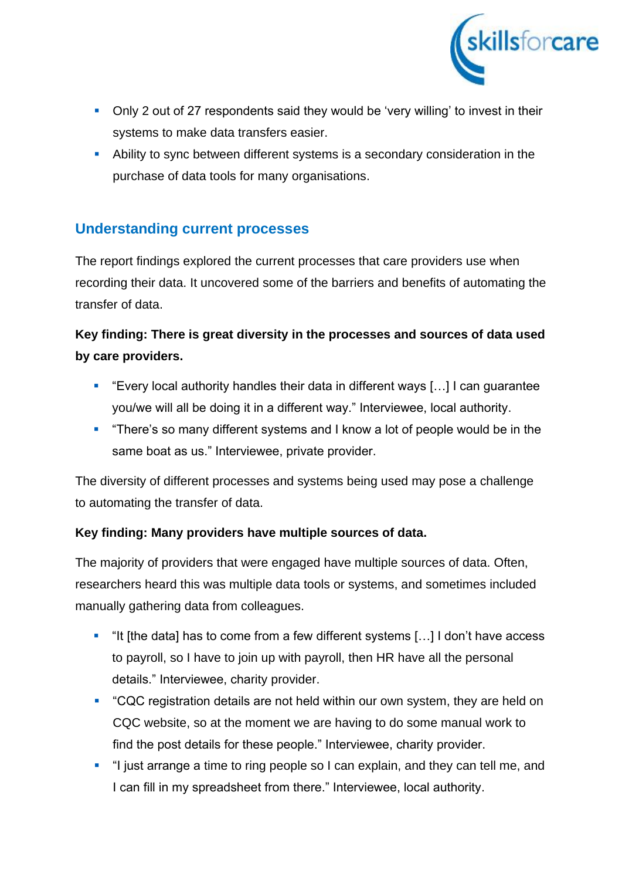

- Only 2 out of 27 respondents said they would be 'very willing' to invest in their systems to make data transfers easier.
- Ability to sync between different systems is a secondary consideration in the purchase of data tools for many organisations.

### **Understanding current processes**

The report findings explored the current processes that care providers use when recording their data. It uncovered some of the barriers and benefits of automating the transfer of data.

## **Key finding: There is great diversity in the processes and sources of data used by care providers.**

- "Every local authority handles their data in different ways [...] I can guarantee you/we will all be doing it in a different way." Interviewee, local authority.
- "There's so many different systems and I know a lot of people would be in the same boat as us." Interviewee, private provider.

The diversity of different processes and systems being used may pose a challenge to automating the transfer of data.

#### **Key finding: Many providers have multiple sources of data.**

The majority of providers that were engaged have multiple sources of data. Often, researchers heard this was multiple data tools or systems, and sometimes included manually gathering data from colleagues.

- "It ithe datal has to come from a few different systems [...] I don't have access to payroll, so I have to join up with payroll, then HR have all the personal details." Interviewee, charity provider.
- "CQC registration details are not held within our own system, they are held on CQC website, so at the moment we are having to do some manual work to find the post details for these people." Interviewee, charity provider.
- "I just arrange a time to ring people so I can explain, and they can tell me, and I can fill in my spreadsheet from there." Interviewee, local authority.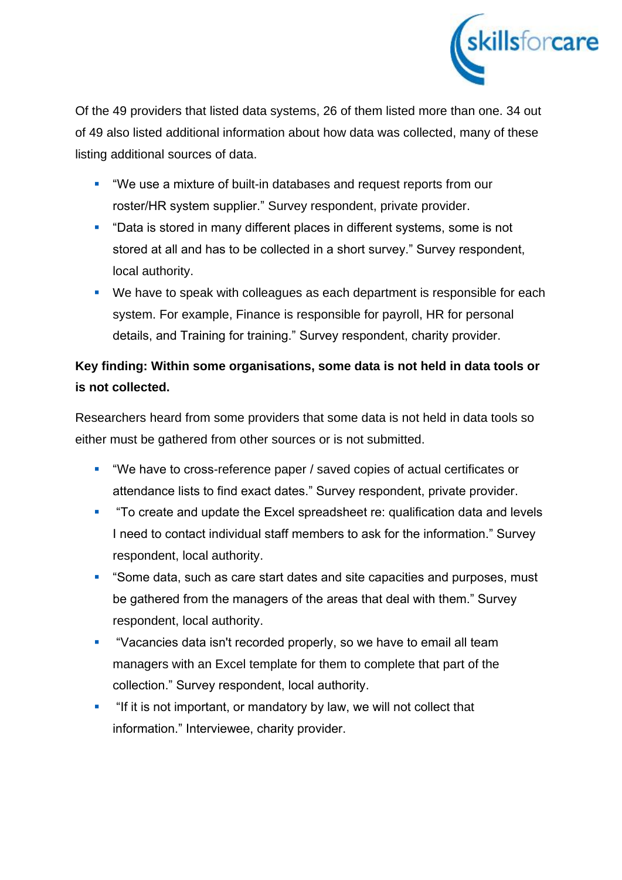

Of the 49 providers that listed data systems, 26 of them listed more than one. 34 out of 49 also listed additional information about how data was collected, many of these listing additional sources of data.

- "We use a mixture of built-in databases and request reports from our roster/HR system supplier." Survey respondent, private provider.
- "Data is stored in many different places in different systems, some is not stored at all and has to be collected in a short survey." Survey respondent, local authority.
- We have to speak with colleagues as each department is responsible for each system. For example, Finance is responsible for payroll, HR for personal details, and Training for training." Survey respondent, charity provider.

## **Key finding: Within some organisations, some data is not held in data tools or is not collected.**

Researchers heard from some providers that some data is not held in data tools so either must be gathered from other sources or is not submitted.

- "We have to cross-reference paper / saved copies of actual certificates or attendance lists to find exact dates." Survey respondent, private provider.
- "To create and update the Excel spreadsheet re: qualification data and levels I need to contact individual staff members to ask for the information." Survey respondent, local authority.
- "Some data, such as care start dates and site capacities and purposes, must be gathered from the managers of the areas that deal with them." Survey respondent, local authority.
- "Vacancies data isn't recorded properly, so we have to email all team managers with an Excel template for them to complete that part of the collection." Survey respondent, local authority.
- "If it is not important, or mandatory by law, we will not collect that information." Interviewee, charity provider.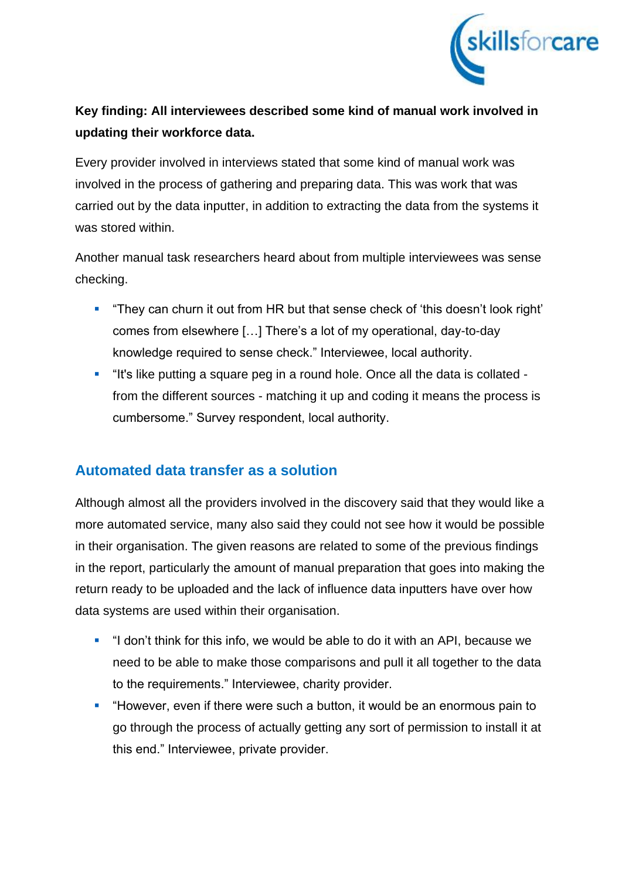

# **Key finding: All interviewees described some kind of manual work involved in updating their workforce data.**

Every provider involved in interviews stated that some kind of manual work was involved in the process of gathering and preparing data. This was work that was carried out by the data inputter, in addition to extracting the data from the systems it was stored within.

Another manual task researchers heard about from multiple interviewees was sense checking.

- "They can churn it out from HR but that sense check of 'this doesn't look right' comes from elsewhere […] There's a lot of my operational, day-to-day knowledge required to sense check." Interviewee, local authority.
- "It's like putting a square peg in a round hole. Once all the data is collated from the different sources - matching it up and coding it means the process is cumbersome." Survey respondent, local authority.

## **Automated data transfer as a solution**

Although almost all the providers involved in the discovery said that they would like a more automated service, many also said they could not see how it would be possible in their organisation. The given reasons are related to some of the previous findings in the report, particularly the amount of manual preparation that goes into making the return ready to be uploaded and the lack of influence data inputters have over how data systems are used within their organisation.

- "I don't think for this info, we would be able to do it with an API, because we need to be able to make those comparisons and pull it all together to the data to the requirements." Interviewee, charity provider.
- "However, even if there were such a button, it would be an enormous pain to go through the process of actually getting any sort of permission to install it at this end." Interviewee, private provider.